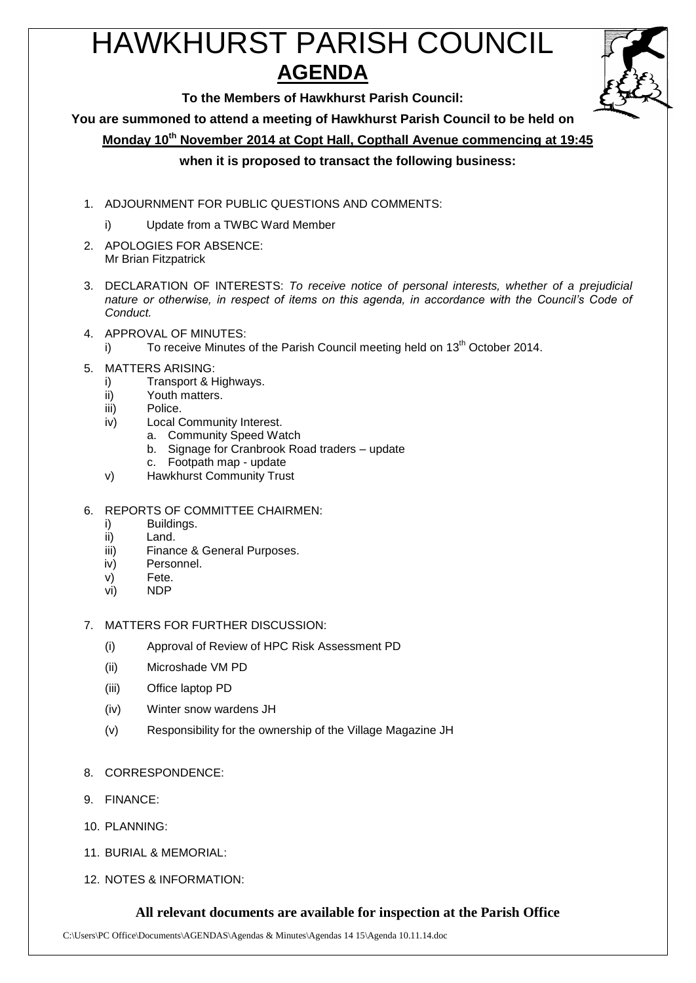# HAWKHURST PARISH COUNCIL **AGENDA**



**To the Members of Hawkhurst Parish Council:**

**You are summoned to attend a meeting of Hawkhurst Parish Council to be held on**

**Monday 10 th November 2014 at Copt Hall, Copthall Avenue commencing at 19:45**

### **when it is proposed to transact the following business:**

- 1. ADJOURNMENT FOR PUBLIC QUESTIONS AND COMMENTS:
	- i) Update from a TWBC Ward Member
- 2. APOLOGIES FOR ABSENCE: Mr Brian Fitzpatrick
- 3. DECLARATION OF INTERESTS: *To receive notice of personal interests, whether of a prejudicial nature or otherwise, in respect of items on this agenda, in accordance with the Council's Code of Conduct.*
- 4. APPROVAL OF MINUTES:
	- i) To receive Minutes of the Parish Council meeting held on  $13<sup>th</sup>$  October 2014.
- 5. MATTERS ARISING:
	- i) Transport & Highways.
	- ii) Youth matters.
	- iii) Police.
	- iv) Local Community Interest.
		- a. Community Speed Watch
			- b. Signage for Cranbrook Road traders update
			- c. Footpath map update
	- v) Hawkhurst Community Trust
- 6. REPORTS OF COMMITTEE CHAIRMEN:
	- i) Buildings.
	- ii) Land.
	- iii) Finance & General Purposes.
	- iv) Personnel.
	- v) Fete.
	- vi) NDP
- 7. MATTERS FOR FURTHER DISCUSSION:
	- (i) Approval of Review of HPC Risk Assessment PD
	- (ii) Microshade VM PD
	- (iii) Office laptop PD
	- (iv) Winter snow wardens JH
	- (v) Responsibility for the ownership of the Village Magazine JH
- 8. CORRESPONDENCE:
- 9. FINANCE:
- 10. PLANNING:
- 11. BURIAL & MEMORIAL:
- 12. NOTES & INFORMATION:

#### **All relevant documents are available for inspection at the Parish Office**

C:\Users\PC Office\Documents\AGENDAS\Agendas & Minutes\Agendas 14 15\Agenda 10.11.14.doc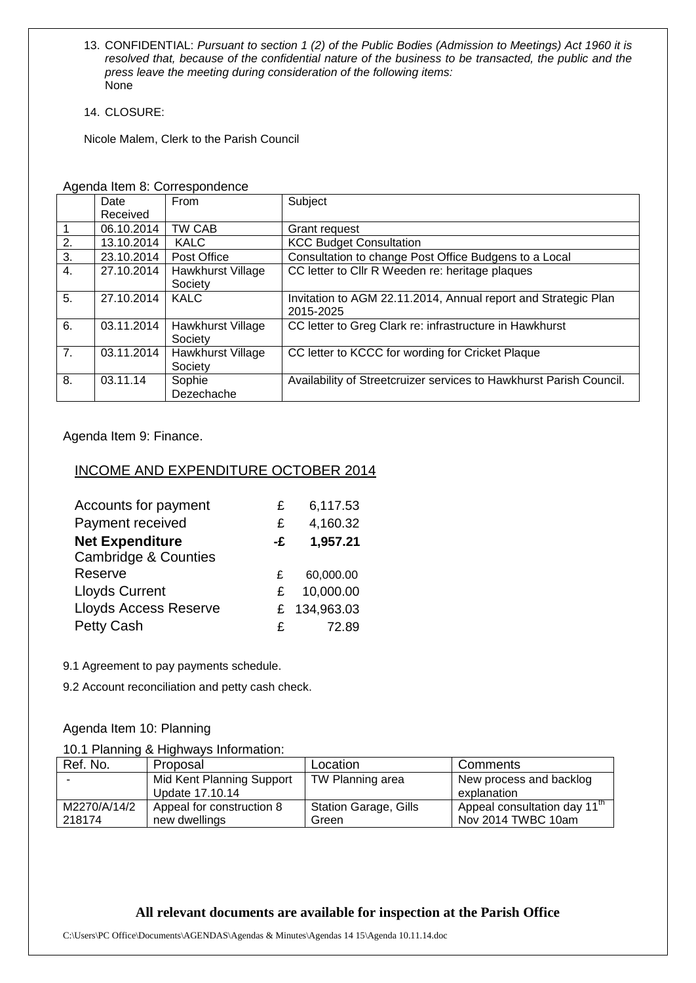- 13. CONFIDENTIAL: *Pursuant to section 1 (2) of the Public Bodies (Admission to Meetings) Act 1960 it is resolved that, because of the confidential nature of the business to be transacted, the public and the press leave the meeting during consideration of the following items:* None
- 14. CLOSURE:

Nicole Malem, Clerk to the Parish Council

|                | Date       | From              | Subject                                                             |  |  |
|----------------|------------|-------------------|---------------------------------------------------------------------|--|--|
|                | Received   |                   |                                                                     |  |  |
| $\overline{1}$ | 06.10.2014 | TW CAB            | Grant request                                                       |  |  |
| 2.             | 13.10.2014 | <b>KALC</b>       | <b>KCC Budget Consultation</b>                                      |  |  |
| 3.             | 23.10.2014 | Post Office       | Consultation to change Post Office Budgens to a Local               |  |  |
| 4.             | 27.10.2014 | Hawkhurst Village | CC letter to Cllr R Weeden re: heritage plaques                     |  |  |
|                |            | Society           |                                                                     |  |  |
| 5.             | 27.10.2014 | <b>KALC</b>       | Invitation to AGM 22.11.2014, Annual report and Strategic Plan      |  |  |
|                |            |                   | 2015-2025                                                           |  |  |
| 6.             | 03.11.2014 | Hawkhurst Village | CC letter to Greg Clark re: infrastructure in Hawkhurst             |  |  |
|                |            | Society           |                                                                     |  |  |
| 7.             | 03.11.2014 | Hawkhurst Village | CC letter to KCCC for wording for Cricket Plaque                    |  |  |
|                |            | Society           |                                                                     |  |  |
| 8.             | 03.11.14   | Sophie            | Availability of Streetcruizer services to Hawkhurst Parish Council. |  |  |
|                |            | Dezechache        |                                                                     |  |  |

Agenda Item 8: Correspondence

Agenda Item 9: Finance.

#### INCOME AND EXPENDITURE OCTOBER 2014

| Accounts for payment            | £  | 6,117.53   |
|---------------------------------|----|------------|
| Payment received                | £  | 4,160.32   |
| <b>Net Expenditure</b>          | -£ | 1,957.21   |
| <b>Cambridge &amp; Counties</b> |    |            |
| Reserve                         | £  | 60,000.00  |
| <b>Lloyds Current</b>           | £. | 10,000.00  |
| <b>Lloyds Access Reserve</b>    | £  | 134,963.03 |
| <b>Petty Cash</b>               | £  | 72.89      |

9.1 Agreement to pay payments schedule.

9.2 Account reconciliation and petty cash check.

#### Agenda Item 10: Planning

#### 10.1 Planning & Highways Information:

| Ref. No.     | Proposal                  | Location                     | Comments                                 |
|--------------|---------------------------|------------------------------|------------------------------------------|
|              | Mid Kent Planning Support | TW Planning area             | New process and backlog                  |
|              | Update 17.10.14           |                              | explanation                              |
| M2270/A/14/2 | Appeal for construction 8 | <b>Station Garage, Gills</b> | Appeal consultation day $11^{\text{th}}$ |
| 218174       | new dwellings             | Green                        | Nov 2014 TWBC 10am                       |

## **All relevant documents are available for inspection at the Parish Office**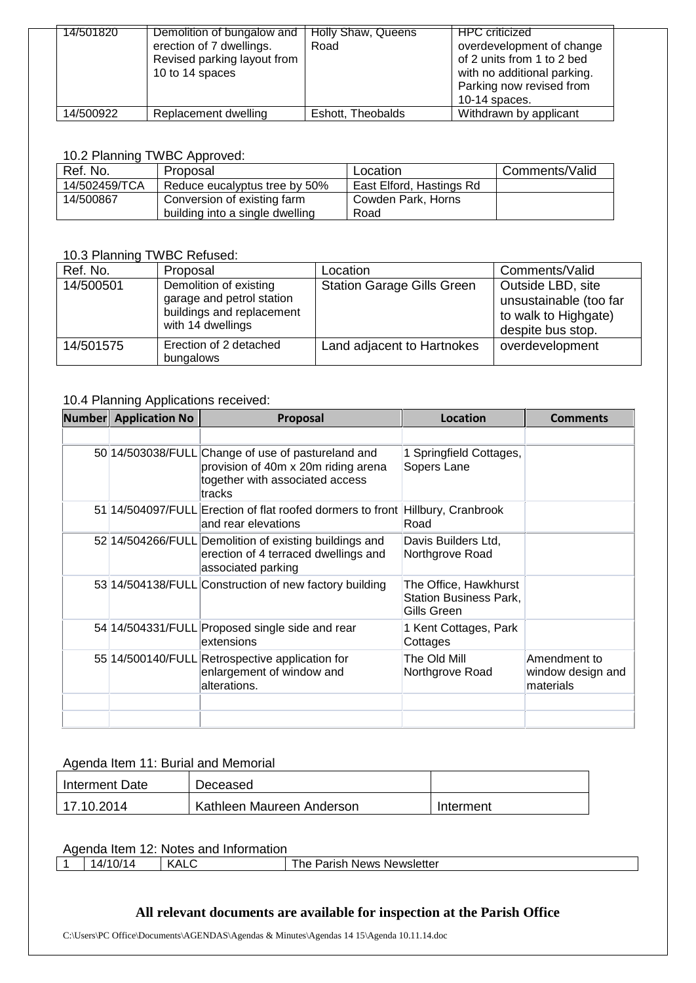| 14/501820 | Demolition of bungalow and  | Holly Shaw, Queens | <b>HPC</b> criticized       |  |
|-----------|-----------------------------|--------------------|-----------------------------|--|
|           | erection of 7 dwellings.    | Road               | overdevelopment of change   |  |
|           | Revised parking layout from |                    | of 2 units from 1 to 2 bed  |  |
|           | 10 to 14 spaces             |                    | with no additional parking. |  |
|           |                             |                    | Parking now revised from    |  |
|           |                             |                    | 10-14 spaces.               |  |
| 14/500922 | Replacement dwelling        | Eshott, Theobalds  | Withdrawn by applicant      |  |

#### 10.2 Planning TWBC Approved:

| Ref. No.      | Proposal                        | Location                 | Comments/Valid |
|---------------|---------------------------------|--------------------------|----------------|
| 14/502459/TCA | Reduce eucalyptus tree by 50%   | East Elford, Hastings Rd |                |
| 14/500867     | Conversion of existing farm     | Cowden Park, Horns       |                |
|               | building into a single dwelling | Road                     |                |

### 10.3 Planning TWBC Refused:

| Ref. No.  | Proposal                                                                                              | Location                          | Comments/Valid                                                                           |
|-----------|-------------------------------------------------------------------------------------------------------|-----------------------------------|------------------------------------------------------------------------------------------|
| 14/500501 | Demolition of existing<br>garage and petrol station<br>buildings and replacement<br>with 14 dwellings | <b>Station Garage Gills Green</b> | Outside LBD, site<br>unsustainable (too far<br>to walk to Highgate)<br>despite bus stop. |
| 14/501575 | Erection of 2 detached<br>bungalows                                                                   | Land adjacent to Hartnokes        | overdevelopment                                                                          |

#### 10.4 Planning Applications received:

| <b>Number</b> Application No | Proposal                                                                                                                               | Location                                                              | <b>Comments</b>                                |
|------------------------------|----------------------------------------------------------------------------------------------------------------------------------------|-----------------------------------------------------------------------|------------------------------------------------|
|                              |                                                                                                                                        |                                                                       |                                                |
|                              | 50 14/503038/FULL Change of use of pastureland and<br>provision of 40m x 20m riding arena<br>together with associated access<br>tracks | 1 Springfield Cottages,<br>Sopers Lane                                |                                                |
|                              | 51 14/504097/FULL Erection of flat roofed dormers to front<br>and rear elevations                                                      | Hillbury, Cranbrook<br>Road                                           |                                                |
|                              | 52 14/504266/FULL Demolition of existing buildings and<br>erection of 4 terraced dwellings and<br>associated parking                   | Davis Builders Ltd,<br>Northgrove Road                                |                                                |
|                              | 53 14/504138/FULL Construction of new factory building                                                                                 | The Office, Hawkhurst<br><b>Station Business Park,</b><br>Gills Green |                                                |
|                              | 54 14/504331/FULL Proposed single side and rear<br>lextensions                                                                         | 1 Kent Cottages, Park<br>Cottages                                     |                                                |
|                              | 55 14/500140/FULL Retrospective application for<br>enlargement of window and<br>alterations.                                           | The Old Mill<br>Northgrove Road                                       | Amendment to<br>window design and<br>materials |
|                              |                                                                                                                                        |                                                                       |                                                |
|                              |                                                                                                                                        |                                                                       |                                                |

#### Agenda Item 11: Burial and Memorial

| Interment Date | Deceased                  |           |
|----------------|---------------------------|-----------|
| 17.10.2014     | Kathleen Maureen Anderson | Interment |

#### Agenda Item 12: Notes and Information

| $\overline{\phantom{a}}$<br>14,<br>. V J/ | $\Lambda$ i<br><br>ง⊣∟ | Newsletter<br>⊀arısh<br><b>News</b><br>ne |  |  |
|-------------------------------------------|------------------------|-------------------------------------------|--|--|
|                                           |                        |                                           |  |  |

# **All relevant documents are available for inspection at the Parish Office**

C:\Users\PC Office\Documents\AGENDAS\Agendas & Minutes\Agendas 14 15\Agenda 10.11.14.doc